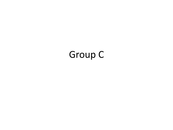## Group C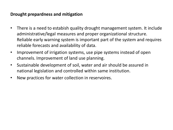## **Drought prepardness and mitigation**

- There is a need to estabish quality drought management system. It include administrative/legal measures and proper organizational structure. Reliable early warning system is important part of the system and requires reliable forecasts and availability of data.
- Improvement of irrigation systems, use pipe systems instead of open channels. Improvement of land use planning.
- Sustainable development of soil, water and air should be assured in national legislation and controlled within same institution.
- New practices for water collection in reservoires.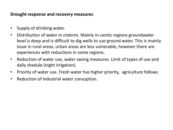## **Drought response and recovery measures**

- Supply of drinking water.
- Distribution of water in cisterns. Mainly in carstic regions groundwater level is deep and is difficult to dig wells to use ground water. This is mainly issue in rural areas, urban areas are less vulnerable, however there are experiences with reductions in some regions.
- Reduction of water use, water saving measures. Limit of types of use and daily shedule (night irrigation).
- Priority of water use. Fresh water has higher priority, agriculture follows
- Reduction of industrial water consuption.